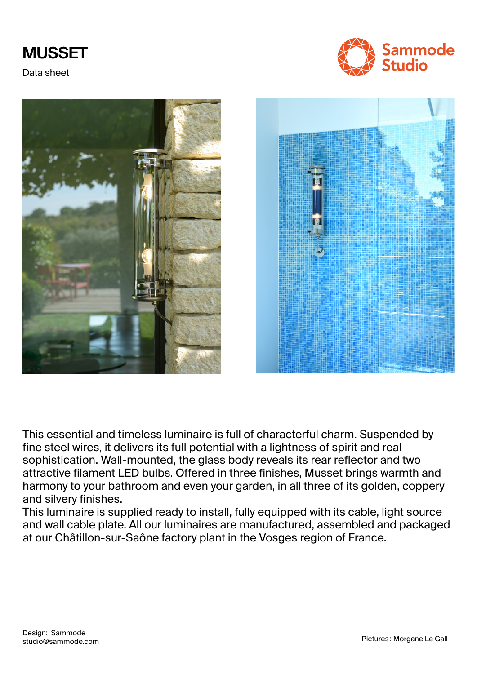# **MUSSET**

Data sheet







This essential and timeless luminaire is full of characterful charm. Suspended by fine steel wires, it delivers its full potential with a lightness of spirit and real sophistication. Wall-mounted, the glass body reveals its rear reflector and two attractive filament LED bulbs. Offered in three finishes, Musset brings warmth and harmony to your bathroom and even your garden, in all three of its golden, coppery and silvery finishes.

This luminaire is supplied ready to install, fully equipped with its cable, light source and wall cable plate. All our luminaires are manufactured, assembled and packaged at our Châtillon-sur-Saône factory plant in the Vosges region of France.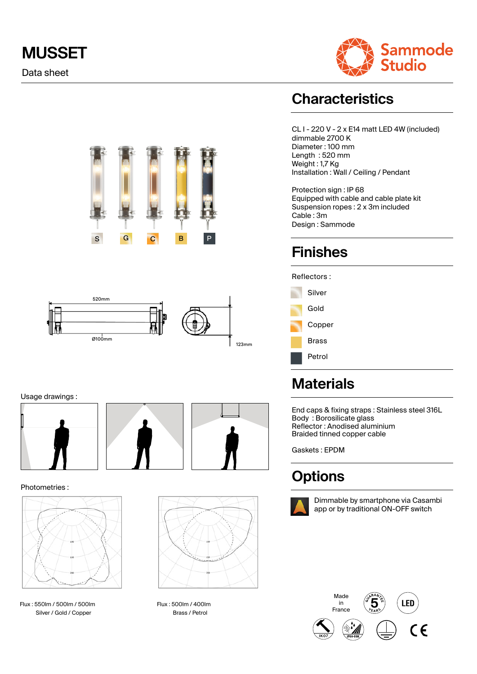# **MUSSET**

Data sheet







Usage drawings :





#### Photometries :



Flux : 550lm / 500lm / 500lm Silver / Gold / Copper



Flux : 500lm / 400lm Brass / Petrol

### **Characteristics**

CL I - 220 V - 2 x E14 matt LED 4W (included) dimmable 2700 K Diameter : 100 mm Length : 520 mm Weight : 1,7 Kg Installation : Wall / Ceiling / Pendant

Protection sign : IP 68 Equipped with cable and cable plate kit Suspension ropes : 2 x 3m included Cable : 3m Design : Sammode

### **Finishes**

#### Reflectors :



### **Materials**

End caps & fixing straps : Stainless steel 316L Body : Borosilicate glass Reflector : Anodised aluminium Braided tinned copper cable

Gaskets : EPDM

### **Options**



Dimmable by smartphone via Casambi app or by traditional ON-OFF switch